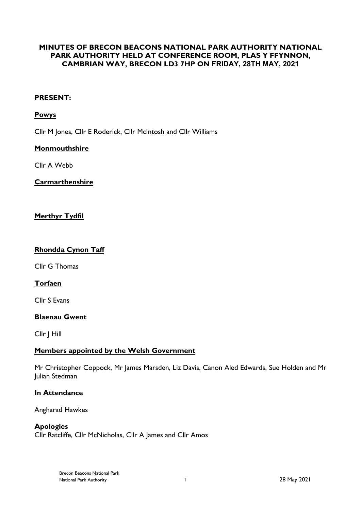# **MINUTES OF BRECON BEACONS NATIONAL PARK AUTHORITY NATIONAL PARK AUTHORITY HELD AT CONFERENCE ROOM, PLAS Y FFYNNON, CAMBRIAN WAY, BRECON LD3 7HP ON FRIDAY, 28TH MAY, 2021**

# **PRESENT:**

## **Powys**

Cllr M Jones, Cllr E Roderick, Cllr McIntosh and Cllr Williams

## **Monmouthshire**

Cllr A Webb

# **Carmarthenshire**

# **Merthyr Tydfil**

## **Rhondda Cynon Taff**

Cllr G Thomas

# **Torfaen**

Cllr S Evans

### **Blaenau Gwent**

Cllr J Hill

### **Members appointed by the Welsh Government**

Mr Christopher Coppock, Mr James Marsden, Liz Davis, Canon Aled Edwards, Sue Holden and Mr Julian Stedman

### **In Attendance**

Angharad Hawkes

### **Apologies**

Cllr Ratcliffe, Cllr McNicholas, Cllr A James and Cllr Amos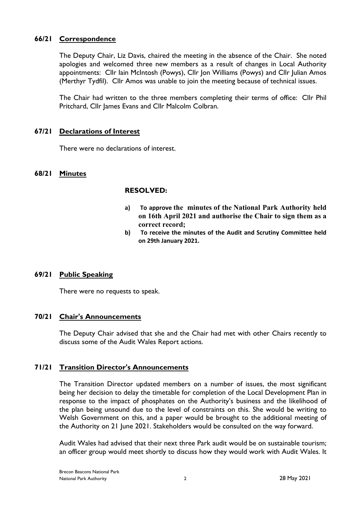# **66/21 Correspondence**

The Deputy Chair, Liz Davis, chaired the meeting in the absence of the Chair. She noted apologies and welcomed three new members as a result of changes in Local Authority appointments: Cllr Iain McIntosh (Powys), Cllr Jon Williams (Powys) and Cllr Julian Amos (Merthyr Tydfil). Cllr Amos was unable to join the meeting because of technical issues.

The Chair had written to the three members completing their terms of office: Cllr Phil Pritchard, Cllr James Evans and Cllr Malcolm Colbran.

# **67/21 Declarations of Interest**

There were no declarations of interest.

## **68/21 Minutes**

## **RESOLVED:**

- **a) To approve the minutes of the National Park Authority held on 16th April 2021 and authorise the Chair to sign them as a correct record;**
- **b) To receive the minutes of the Audit and Scrutiny Committee held on 29th January 2021.**

### **69/21 Public Speaking**

There were no requests to speak.

### **70/21 Chair's Announcements**

The Deputy Chair advised that she and the Chair had met with other Chairs recently to discuss some of the Audit Wales Report actions.

### **71/21 Transition Director's Announcements**

The Transition Director updated members on a number of issues, the most significant being her decision to delay the timetable for completion of the Local Development Plan in response to the impact of phosphates on the Authority's business and the likelihood of the plan being unsound due to the level of constraints on this. She would be writing to Welsh Government on this, and a paper would be brought to the additional meeting of the Authority on 21 June 2021. Stakeholders would be consulted on the way forward.

Audit Wales had advised that their next three Park audit would be on sustainable tourism; an officer group would meet shortly to discuss how they would work with Audit Wales. It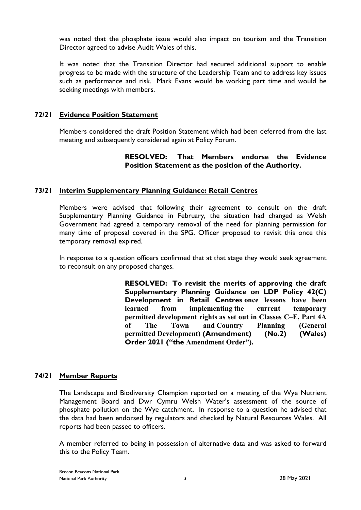was noted that the phosphate issue would also impact on tourism and the Transition Director agreed to advise Audit Wales of this.

It was noted that the Transition Director had secured additional support to enable progress to be made with the structure of the Leadership Team and to address key issues such as performance and risk. Mark Evans would be working part time and would be seeking meetings with members.

## **72/21 Evidence Position Statement**

Members considered the draft Position Statement which had been deferred from the last meeting and subsequently considered again at Policy Forum.

# **RESOLVED: That Members endorse the Evidence Position Statement as the position of the Authority.**

# **73/21 Interim Supplementary Planning Guidance: Retail Centres**

Members were advised that following their agreement to consult on the draft Supplementary Planning Guidance in February, the situation had changed as Welsh Government had agreed a temporary removal of the need for planning permission for many time of proposal covered in the SPG. Officer proposed to revisit this once this temporary removal expired.

In response to a question officers confirmed that at that stage they would seek agreement to reconsult on any proposed changes.

> **RESOLVED: To revisit the merits of approving the draft Supplementary Planning Guidance on LDP Policy 42(C) Development in Retail Centres once lessons have been learned from implementing the current temporary permitted development rights as set out in Classes C–E, Part 4A of The Town and Country Planning (General permitted Development) (Amendment) (No.2) (Wales) Order 2021 ("the Amendment Order").**

# **74/21 Member Reports**

The Landscape and Biodiversity Champion reported on a meeting of the Wye Nutrient Management Board and Dwr Cymru Welsh Water's assessment of the source of phosphate pollution on the Wye catchment. In response to a question he advised that the data had been endorsed by regulators and checked by Natural Resources Wales. All reports had been passed to officers.

A member referred to being in possession of alternative data and was asked to forward this to the Policy Team.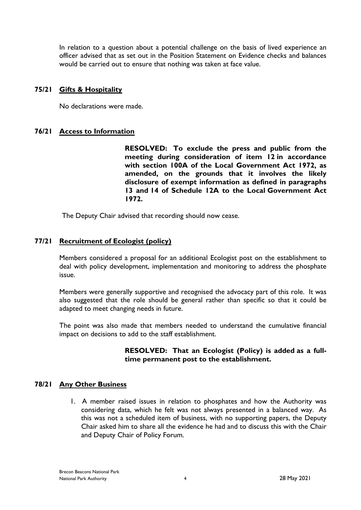In relation to a question about a potential challenge on the basis of lived experience an officer advised that as set out in the Position Statement on Evidence checks and balances would be carried out to ensure that nothing was taken at face value.

## **75/21 Gifts & Hospitality**

No declarations were made.

# **76/21 Access to Information**

**RESOLVED: To exclude the press and public from the meeting during consideration of item 12 in accordance with section 100A of the Local Government Act 1972, as amended, on the grounds that it involves the likely disclosure of exempt information as defined in paragraphs 13 and 14 of Schedule 12A to the Local Government Act 1972.**

The Deputy Chair advised that recording should now cease.

# **77/21 Recruitment of Ecologist (policy)**

Members considered a proposal for an additional Ecologist post on the establishment to deal with policy development, implementation and monitoring to address the phosphate issue.

Members were generally supportive and recognised the advocacy part of this role. It was also suggested that the role should be general rather than specific so that it could be adapted to meet changing needs in future.

The point was also made that members needed to understand the cumulative financial impact on decisions to add to the staff establishment.

## **RESOLVED: That an Ecologist (Policy) is added as a fulltime permanent post to the establishment.**

# **78/21 Any Other Business**

1. A member raised issues in relation to phosphates and how the Authority was considering data, which he felt was not always presented in a balanced way. As this was not a scheduled item of business, with no supporting papers, the Deputy Chair asked him to share all the evidence he had and to discuss this with the Chair and Deputy Chair of Policy Forum.